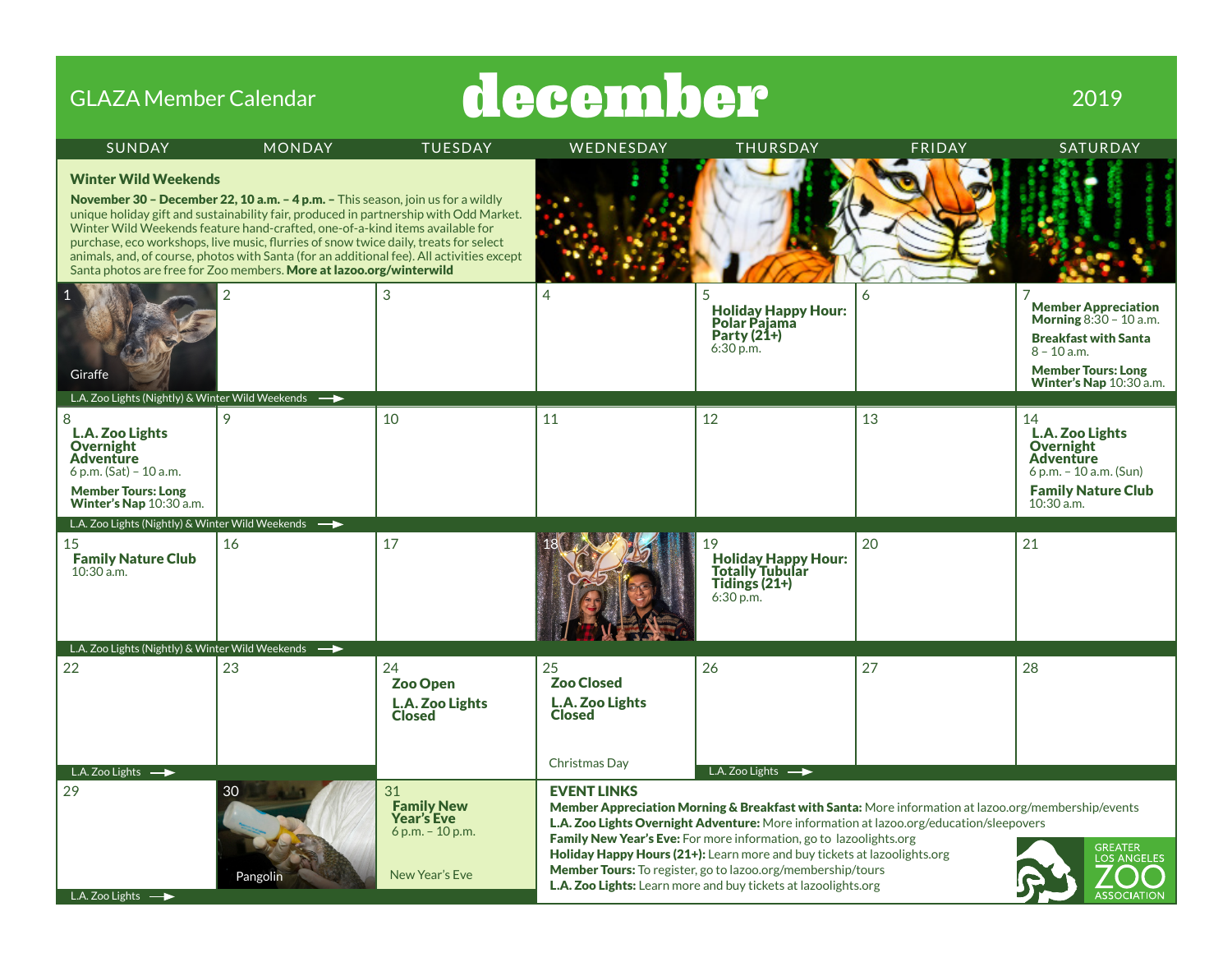| <b>GLAZA Member Calendar</b>                                                                                                                                                |                                                                                                                                                                                                                                                                                                                                                                                                                                                                                                                      |                                                                               | december                                             |                                                                                                                                                                                                                                                                                                                                                                                                                                                                                                                        |        | 2019                                                                                                                                                                  |
|-----------------------------------------------------------------------------------------------------------------------------------------------------------------------------|----------------------------------------------------------------------------------------------------------------------------------------------------------------------------------------------------------------------------------------------------------------------------------------------------------------------------------------------------------------------------------------------------------------------------------------------------------------------------------------------------------------------|-------------------------------------------------------------------------------|------------------------------------------------------|------------------------------------------------------------------------------------------------------------------------------------------------------------------------------------------------------------------------------------------------------------------------------------------------------------------------------------------------------------------------------------------------------------------------------------------------------------------------------------------------------------------------|--------|-----------------------------------------------------------------------------------------------------------------------------------------------------------------------|
| <b>SUNDAY</b>                                                                                                                                                               | <b>MONDAY</b>                                                                                                                                                                                                                                                                                                                                                                                                                                                                                                        | <b>TUESDAY</b>                                                                | WEDNESDAY                                            | <b>THURSDAY</b>                                                                                                                                                                                                                                                                                                                                                                                                                                                                                                        | FRIDAY | SATURDAY                                                                                                                                                              |
| <b>Winter Wild Weekends</b>                                                                                                                                                 | November 30 - December 22, 10 a.m. - 4 p.m. - This season, join us for a wildly<br>unique holiday gift and sustainability fair, produced in partnership with Odd Market.<br>Winter Wild Weekends feature hand-crafted, one-of-a-kind items available for<br>purchase, eco workshops, live music, flurries of snow twice daily, treats for select<br>animals, and, of course, photos with Santa (for an additional fee). All activities except<br>Santa photos are free for Zoo members. More at lazoo.org/winterwild |                                                                               |                                                      |                                                                                                                                                                                                                                                                                                                                                                                                                                                                                                                        |        |                                                                                                                                                                       |
| Giraffe<br>L.A. Zoo Lights (Nightly) & Winter Wild Weekends $\longrightarrow$                                                                                               | $\overline{2}$                                                                                                                                                                                                                                                                                                                                                                                                                                                                                                       | 3                                                                             | 4                                                    | <b>Holiday Happy Hour:</b><br>Polar Pajama<br>Party (21+)<br>6:30 p.m.                                                                                                                                                                                                                                                                                                                                                                                                                                                 | 6      | <b>Member Appreciation</b><br><b>Morning</b> $8:30 - 10$ a.m.<br><b>Breakfast with Santa</b><br>$8 - 10$ a.m.<br><b>Member Tours: Long</b><br>Winter's Nap 10:30 a.m. |
| 8<br>L.A. Zoo Lights<br><b>Overnight</b><br><b>Adventure</b><br>$6 p.m. (Sat) - 10 a.m.$<br><b>Member Tours: Long</b><br>Winter's Nap 10:30 a.m.                            | 9                                                                                                                                                                                                                                                                                                                                                                                                                                                                                                                    | 10                                                                            | 11                                                   | 12                                                                                                                                                                                                                                                                                                                                                                                                                                                                                                                     | 13     | 14<br>L.A. Zoo Lights<br><b>Overnight</b><br><b>Adventure</b><br>$6 p.m. - 10 a.m. (Sun)$<br><b>Family Nature Club</b><br>10:30 a.m.                                  |
| L.A. Zoo Lights (Nightly) & Winter Wild Weekends $\longrightarrow$<br>15<br><b>Family Nature Club</b><br>$10:30$ a.m.<br>L.A. Zoo Lights (Nightly) & Winter Wild Weekends – | 16                                                                                                                                                                                                                                                                                                                                                                                                                                                                                                                   | 17                                                                            |                                                      | 19<br><b>Holiday Happy Hour:</b><br><b>Totally Tubular</b><br>Tidings (21+)<br>6:30 p.m.                                                                                                                                                                                                                                                                                                                                                                                                                               | 20     | 21                                                                                                                                                                    |
| 22                                                                                                                                                                          | 23                                                                                                                                                                                                                                                                                                                                                                                                                                                                                                                   | 24<br><b>Zoo Open</b><br>L.A. Zoo Lights<br><b>Closed</b>                     | 25<br><b>Zoo Closed</b><br>L.A. Zoo Lights<br>Closed | 26                                                                                                                                                                                                                                                                                                                                                                                                                                                                                                                     | 27     | 28                                                                                                                                                                    |
| L.A. Zoo Lights $\longrightarrow$<br>29<br>L.A. Zoo Lights $\longrightarrow$                                                                                                | 30<br>Pangolin                                                                                                                                                                                                                                                                                                                                                                                                                                                                                                       | 31<br><b>Family New</b><br>Year's Eve<br>$6 p.m. - 10 p.m.$<br>New Year's Eve | Christmas Day<br><b>EVENT LINKS</b>                  | L.A. Zoo Lights $\longrightarrow$<br>Member Appreciation Morning & Breakfast with Santa: More information at lazoo.org/membership/events<br>L.A. Zoo Lights Overnight Adventure: More information at lazoo.org/education/sleepovers<br>Family New Year's Eve: For more information, go to lazoolights.org<br>Holiday Happy Hours (21+): Learn more and buy tickets at lazoolights.org<br>Member Tours: To register, go to lazoo.org/membership/tours<br>L.A. Zoo Lights: Learn more and buy tickets at lazoolights.org |        | <b>GREATER</b><br>LOS ANGELES                                                                                                                                         |